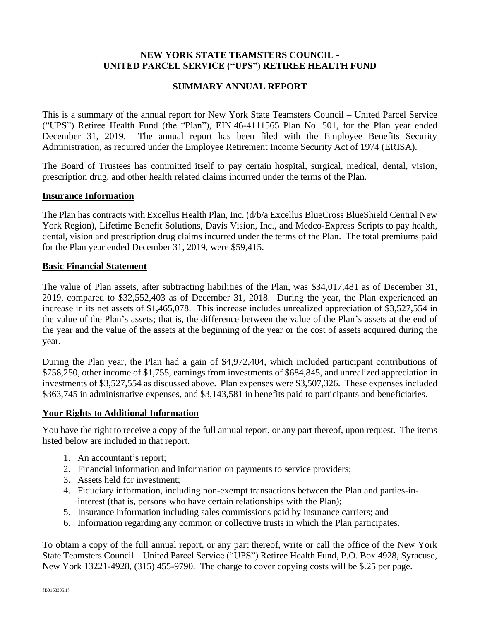# **NEW YORK STATE TEAMSTERS COUNCIL - UNITED PARCEL SERVICE ("UPS") RETIREE HEALTH FUND**

# **SUMMARY ANNUAL REPORT**

This is a summary of the annual report for New York State Teamsters Council – United Parcel Service ("UPS") Retiree Health Fund (the "Plan"), EIN 46-4111565 Plan No. 501, for the Plan year ended December 31, 2019. The annual report has been filed with the Employee Benefits Security Administration, as required under the Employee Retirement Income Security Act of 1974 (ERISA).

The Board of Trustees has committed itself to pay certain hospital, surgical, medical, dental, vision, prescription drug, and other health related claims incurred under the terms of the Plan.

### **Insurance Information**

The Plan has contracts with Excellus Health Plan, Inc. (d/b/a Excellus BlueCross BlueShield Central New York Region), Lifetime Benefit Solutions, Davis Vision, Inc., and Medco-Express Scripts to pay health, dental, vision and prescription drug claims incurred under the terms of the Plan. The total premiums paid for the Plan year ended December 31, 2019, were \$59,415.

#### **Basic Financial Statement**

The value of Plan assets, after subtracting liabilities of the Plan, was \$34,017,481 as of December 31, 2019, compared to \$32,552,403 as of December 31, 2018. During the year, the Plan experienced an increase in its net assets of \$1,465,078. This increase includes unrealized appreciation of \$3,527,554 in the value of the Plan's assets; that is, the difference between the value of the Plan's assets at the end of the year and the value of the assets at the beginning of the year or the cost of assets acquired during the year.

During the Plan year, the Plan had a gain of \$4,972,404, which included participant contributions of \$758,250, other income of \$1,755, earnings from investments of \$684,845, and unrealized appreciation in investments of \$3,527,554 as discussed above. Plan expenses were \$3,507,326. These expenses included \$363,745 in administrative expenses, and \$3,143,581 in benefits paid to participants and beneficiaries.

### **Your Rights to Additional Information**

You have the right to receive a copy of the full annual report, or any part thereof, upon request. The items listed below are included in that report.

- 1. An accountant's report;
- 2. Financial information and information on payments to service providers;
- 3. Assets held for investment;
- 4. Fiduciary information, including non-exempt transactions between the Plan and parties-ininterest (that is, persons who have certain relationships with the Plan);
- 5. Insurance information including sales commissions paid by insurance carriers; and
- 6. Information regarding any common or collective trusts in which the Plan participates.

To obtain a copy of the full annual report, or any part thereof, write or call the office of the New York State Teamsters Council – United Parcel Service ("UPS") Retiree Health Fund, P.O. Box 4928, Syracuse, New York 13221-4928, (315) 455-9790. The charge to cover copying costs will be \$.25 per page.